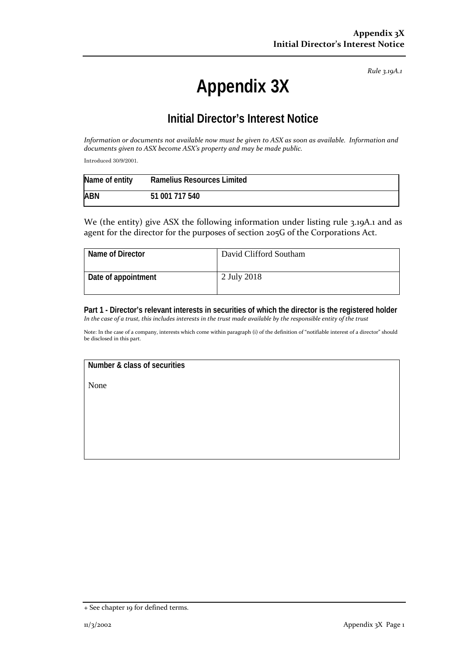*Rule 3.19A.1*

# **Appendix 3X**

## **Initial Director's Interest Notice**

*Information or documents not available now must be given to ASX as soon as available. Information and documents given to ASX become ASX's property and may be made public.*

Introduced 30/9/2001.

| Name of entity | Ramelius Resources Limited |
|----------------|----------------------------|
| <b>ABN</b>     | 51 001 717 540             |

We (the entity) give ASX the following information under listing rule 3.19A.1 and as agent for the director for the purposes of section 205G of the Corporations Act.

| Name of Director    | David Clifford Southam |
|---------------------|------------------------|
| Date of appointment | 2 July 2018            |

**Part 1 - Director's relevant interests in securities of which the director is the registered holder** *In the case of a trust, this includes interests in the trust made available by the responsible entity of the trust*

Note: In the case of a company, interests which come within paragraph (i) of the definition of "notifiable interest of a director" should be disclosed in this part.

#### **Number & class of securities**

None

<sup>+</sup> See chapter 19 for defined terms.